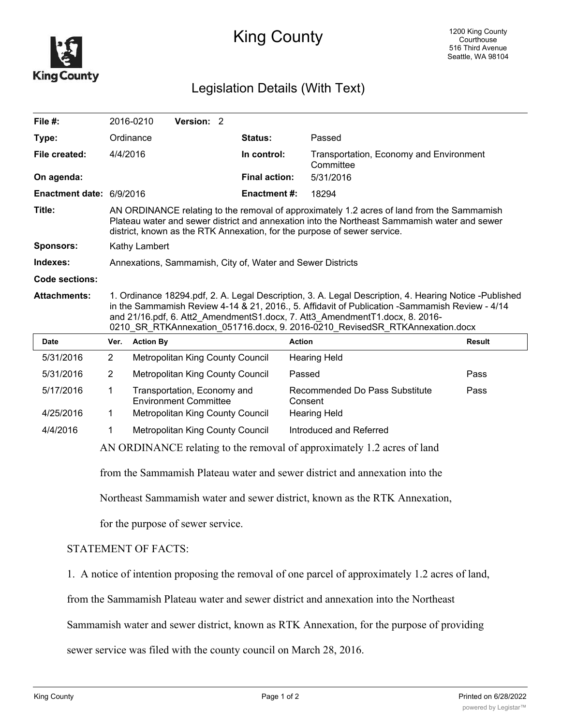

## King County

## Legislation Details (With Text)

| File #:                  |                                                                                                                                                                                                                                                                                                                                                                         | 2016-0210        | Version: 2                                                  |  |                      |                                                                             |        |
|--------------------------|-------------------------------------------------------------------------------------------------------------------------------------------------------------------------------------------------------------------------------------------------------------------------------------------------------------------------------------------------------------------------|------------------|-------------------------------------------------------------|--|----------------------|-----------------------------------------------------------------------------|--------|
| Type:                    |                                                                                                                                                                                                                                                                                                                                                                         | Ordinance        |                                                             |  | Status:              | Passed                                                                      |        |
| File created:            | 4/4/2016                                                                                                                                                                                                                                                                                                                                                                |                  |                                                             |  | In control:          | Transportation, Economy and Environment<br>Committee                        |        |
| On agenda:               |                                                                                                                                                                                                                                                                                                                                                                         |                  |                                                             |  | <b>Final action:</b> | 5/31/2016                                                                   |        |
| Enactment date: 6/9/2016 |                                                                                                                                                                                                                                                                                                                                                                         |                  |                                                             |  | <b>Enactment #:</b>  | 18294                                                                       |        |
| Title:                   | AN ORDINANCE relating to the removal of approximately 1.2 acres of land from the Sammamish<br>Plateau water and sewer district and annexation into the Northeast Sammamish water and sewer<br>district, known as the RTK Annexation, for the purpose of sewer service.                                                                                                  |                  |                                                             |  |                      |                                                                             |        |
| Sponsors:                | Kathy Lambert                                                                                                                                                                                                                                                                                                                                                           |                  |                                                             |  |                      |                                                                             |        |
| Indexes:                 |                                                                                                                                                                                                                                                                                                                                                                         |                  |                                                             |  |                      | Annexations, Sammamish, City of, Water and Sewer Districts                  |        |
| <b>Code sections:</b>    |                                                                                                                                                                                                                                                                                                                                                                         |                  |                                                             |  |                      |                                                                             |        |
| <b>Attachments:</b>      | 1. Ordinance 18294.pdf, 2. A. Legal Description, 3. A. Legal Description, 4. Hearing Notice -Published<br>in the Sammamish Review 4-14 & 21, 2016., 5. Affidavit of Publication -Sammamish Review - 4/14<br>and 21/16.pdf, 6. Att2_AmendmentS1.docx, 7. Att3_AmendmentT1.docx, 8. 2016-<br>0210_SR_RTKAnnexation_051716.docx, 9. 2016-0210_RevisedSR_RTKAnnexation.docx |                  |                                                             |  |                      |                                                                             |        |
|                          |                                                                                                                                                                                                                                                                                                                                                                         |                  |                                                             |  |                      |                                                                             |        |
| <b>Date</b>              | Ver.                                                                                                                                                                                                                                                                                                                                                                    | <b>Action By</b> |                                                             |  |                      | <b>Action</b>                                                               | Result |
| 5/31/2016                | $\overline{2}$                                                                                                                                                                                                                                                                                                                                                          |                  | Metropolitan King County Council                            |  |                      | <b>Hearing Held</b>                                                         |        |
| 5/31/2016                | $\overline{2}$                                                                                                                                                                                                                                                                                                                                                          |                  | Metropolitan King County Council                            |  |                      | Passed                                                                      | Pass   |
| 5/17/2016                | 1                                                                                                                                                                                                                                                                                                                                                                       |                  | Transportation, Economy and<br><b>Environment Committee</b> |  |                      | Recommended Do Pass Substitute<br>Consent                                   | Pass   |
| 4/25/2016                | 1                                                                                                                                                                                                                                                                                                                                                                       |                  | Metropolitan King County Council                            |  |                      | <b>Hearing Held</b>                                                         |        |
| 4/4/2016                 | 1                                                                                                                                                                                                                                                                                                                                                                       |                  | Metropolitan King County Council                            |  |                      | Introduced and Referred                                                     |        |
|                          |                                                                                                                                                                                                                                                                                                                                                                         |                  |                                                             |  |                      | AN ORDINANCE relating to the removal of approximately 1.2 acres of land     |        |
|                          |                                                                                                                                                                                                                                                                                                                                                                         |                  |                                                             |  |                      | from the Sammamish Plateau water and sewer district and annexation into the |        |

for the purpose of sewer service.

## STATEMENT OF FACTS:

1. A notice of intention proposing the removal of one parcel of approximately 1.2 acres of land,

from the Sammamish Plateau water and sewer district and annexation into the Northeast

Sammamish water and sewer district, known as RTK Annexation, for the purpose of providing

sewer service was filed with the county council on March 28, 2016.